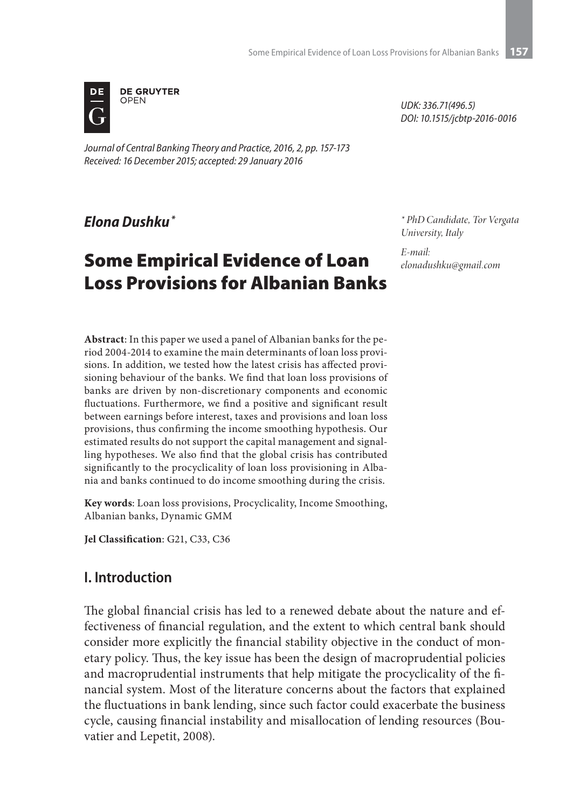

*Journal of Central Banking Theory and Practice, 2016, 2, pp. 157-173 Received: 16 December 2015; accepted: 29 January 2016*

*Elona Dushku \**

# Some Empirical Evidence of Loan Loss Provisions for Albanian Banks

*UDK: 336.71(496.5) DOI: 10.1515/jcbtp-2016-0016*

*\* PhD Candidate, Tor Vergata University, Italy*

*E-mail: elonadushku@gmail.com*

**Abstract**: In this paper we used a panel of Albanian banks for the period 2004-2014 to examine the main determinants of loan loss provisions. In addition, we tested how the latest crisis has affected provisioning behaviour of the banks. We find that loan loss provisions of banks are driven by non-discretionary components and economic fluctuations. Furthermore, we find a positive and significant result between earnings before interest, taxes and provisions and loan loss provisions, thus confirming the income smoothing hypothesis. Our estimated results do not support the capital management and signalling hypotheses. We also find that the global crisis has contributed significantly to the procyclicality of loan loss provisioning in Albania and banks continued to do income smoothing during the crisis.

**Key words**: Loan loss provisions, Procyclicality, Income Smoothing, Albanian banks, Dynamic GMM

**Jel Classification**: G21, C33, C36

# **I. Introduction**

The global financial crisis has led to a renewed debate about the nature and effectiveness of financial regulation, and the extent to which central bank should consider more explicitly the financial stability objective in the conduct of monetary policy. Thus, the key issue has been the design of macroprudential policies and macroprudential instruments that help mitigate the procyclicality of the financial system. Most of the literature concerns about the factors that explained the fluctuations in bank lending, since such factor could exacerbate the business cycle, causing financial instability and misallocation of lending resources (Bouvatier and Lepetit, 2008).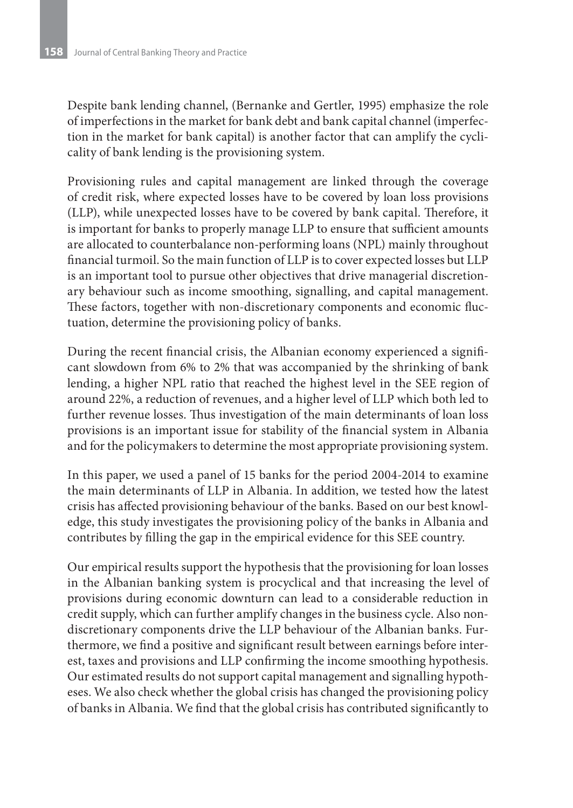Despite bank lending channel, (Bernanke and Gertler, 1995) emphasize the role of imperfections in the market for bank debt and bank capital channel (imperfection in the market for bank capital) is another factor that can amplify the cyclicality of bank lending is the provisioning system.

Provisioning rules and capital management are linked through the coverage of credit risk, where expected losses have to be covered by loan loss provisions (LLP), while unexpected losses have to be covered by bank capital. Therefore, it is important for banks to properly manage LLP to ensure that sufficient amounts are allocated to counterbalance non-performing loans (NPL) mainly throughout financial turmoil. So the main function of LLP is to cover expected losses but LLP is an important tool to pursue other objectives that drive managerial discretionary behaviour such as income smoothing, signalling, and capital management. These factors, together with non-discretionary components and economic fluctuation, determine the provisioning policy of banks.

During the recent financial crisis, the Albanian economy experienced a significant slowdown from 6% to 2% that was accompanied by the shrinking of bank lending, a higher NPL ratio that reached the highest level in the SEE region of around 22%, a reduction of revenues, and a higher level of LLP which both led to further revenue losses. Thus investigation of the main determinants of loan loss provisions is an important issue for stability of the financial system in Albania and for the policymakers to determine the most appropriate provisioning system.

In this paper, we used a panel of 15 banks for the period 2004-2014 to examine the main determinants of LLP in Albania. In addition, we tested how the latest crisis has affected provisioning behaviour of the banks. Based on our best knowledge, this study investigates the provisioning policy of the banks in Albania and contributes by filling the gap in the empirical evidence for this SEE country.

Our empirical results support the hypothesis that the provisioning for loan losses in the Albanian banking system is procyclical and that increasing the level of provisions during economic downturn can lead to a considerable reduction in credit supply, which can further amplify changes in the business cycle. Also nondiscretionary components drive the LLP behaviour of the Albanian banks. Furthermore, we find a positive and significant result between earnings before interest, taxes and provisions and LLP confirming the income smoothing hypothesis. Our estimated results do not support capital management and signalling hypotheses. We also check whether the global crisis has changed the provisioning policy of banks in Albania. We find that the global crisis has contributed significantly to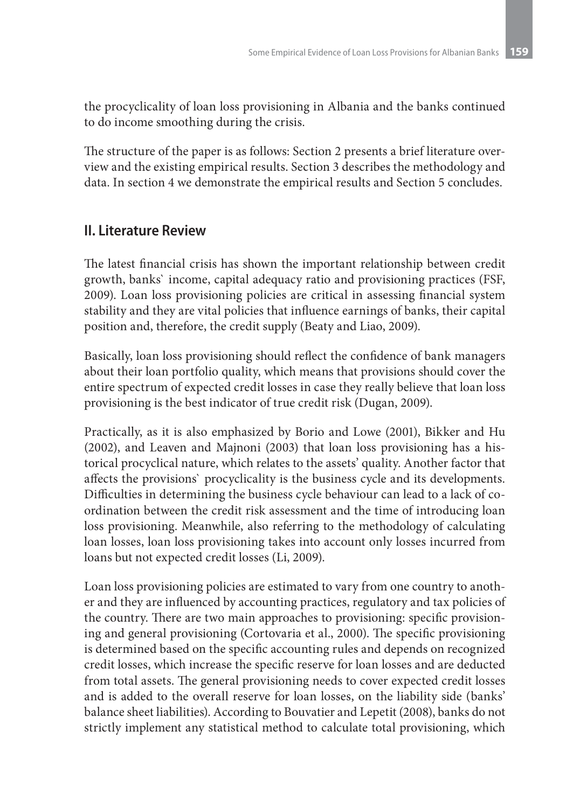the procyclicality of loan loss provisioning in Albania and the banks continued to do income smoothing during the crisis.

The structure of the paper is as follows: Section 2 presents a brief literature overview and the existing empirical results. Section 3 describes the methodology and data. In section 4 we demonstrate the empirical results and Section 5 concludes.

# **II. Literature Review**

The latest financial crisis has shown the important relationship between credit growth, banks` income, capital adequacy ratio and provisioning practices (FSF, 2009). Loan loss provisioning policies are critical in assessing financial system stability and they are vital policies that influence earnings of banks, their capital position and, therefore, the credit supply (Beaty and Liao, 2009).

Basically, loan loss provisioning should reflect the confidence of bank managers about their loan portfolio quality, which means that provisions should cover the entire spectrum of expected credit losses in case they really believe that loan loss provisioning is the best indicator of true credit risk (Dugan, 2009).

Practically, as it is also emphasized by Borio and Lowe (2001), Bikker and Hu (2002), and Leaven and Majnoni (2003) that loan loss provisioning has a historical procyclical nature, which relates to the assets' quality. Another factor that affects the provisions` procyclicality is the business cycle and its developments. Difficulties in determining the business cycle behaviour can lead to a lack of coordination between the credit risk assessment and the time of introducing loan loss provisioning. Meanwhile, also referring to the methodology of calculating loan losses, loan loss provisioning takes into account only losses incurred from loans but not expected credit losses (Li, 2009).

Loan loss provisioning policies are estimated to vary from one country to another and they are influenced by accounting practices, regulatory and tax policies of the country. There are two main approaches to provisioning: specific provisioning and general provisioning (Cortovaria et al., 2000). The specific provisioning is determined based on the specific accounting rules and depends on recognized credit losses, which increase the specific reserve for loan losses and are deducted from total assets. The general provisioning needs to cover expected credit losses and is added to the overall reserve for loan losses, on the liability side (banks' balance sheet liabilities). According to Bouvatier and Lepetit (2008), banks do not strictly implement any statistical method to calculate total provisioning, which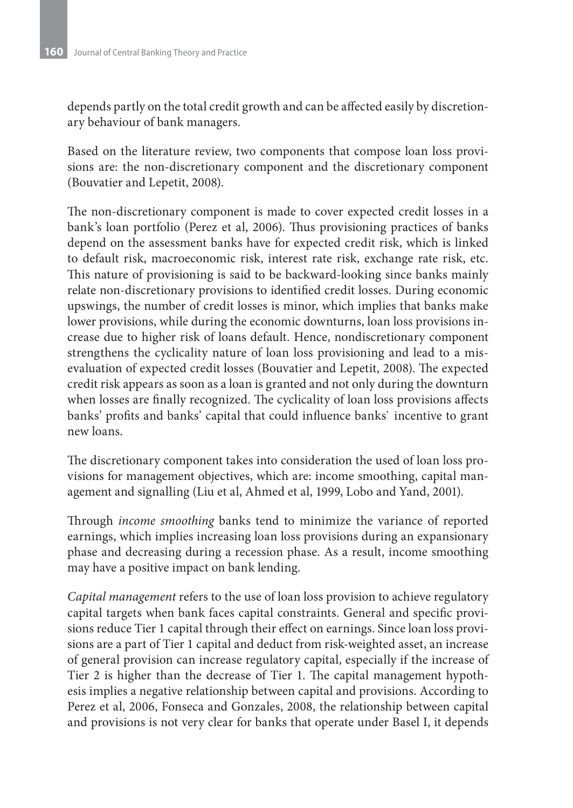depends partly on the total credit growth and can be affected easily by discretionary behaviour of bank managers.

Based on the literature review, two components that compose loan loss provisions are: the non-discretionary component and the discretionary component (Bouvatier and Lepetit, 2008).

The non-discretionary component is made to cover expected credit losses in a bank's loan portfolio (Perez et al, 2006). Thus provisioning practices of banks depend on the assessment banks have for expected credit risk, which is linked to default risk, macroeconomic risk, interest rate risk, exchange rate risk, etc. This nature of provisioning is said to be backward-looking since banks mainly relate non-discretionary provisions to identified credit losses. During economic upswings, the number of credit losses is minor, which implies that banks make lower provisions, while during the economic downturns, loan loss provisions increase due to higher risk of loans default. Hence, nondiscretionary component strengthens the cyclicality nature of loan loss provisioning and lead to a misevaluation of expected credit losses (Bouvatier and Lepetit, 2008). The expected credit risk appears as soon as a loan is granted and not only during the downturn when losses are finally recognized. The cyclicality of loan loss provisions affects banks' profits and banks' capital that could influence banks` incentive to grant new loans.

The discretionary component takes into consideration the used of loan loss provisions for management objectives, which are: income smoothing, capital management and signalling (Liu et al, Ahmed et al, 1999, Lobo and Yand, 2001).

Through *income smoothing* banks tend to minimize the variance of reported earnings, which implies increasing loan loss provisions during an expansionary phase and decreasing during a recession phase. As a result, income smoothing may have a positive impact on bank lending.

*Capital management* refers to the use of loan loss provision to achieve regulatory capital targets when bank faces capital constraints. General and specific provisions reduce Tier 1 capital through their effect on earnings. Since loan loss provisions are a part of Tier 1 capital and deduct from risk-weighted asset, an increase of general provision can increase regulatory capital, especially if the increase of Tier 2 is higher than the decrease of Tier 1. The capital management hypothesis implies a negative relationship between capital and provisions. According to Perez et al, 2006, Fonseca and Gonzales, 2008, the relationship between capital and provisions is not very clear for banks that operate under Basel I, it depends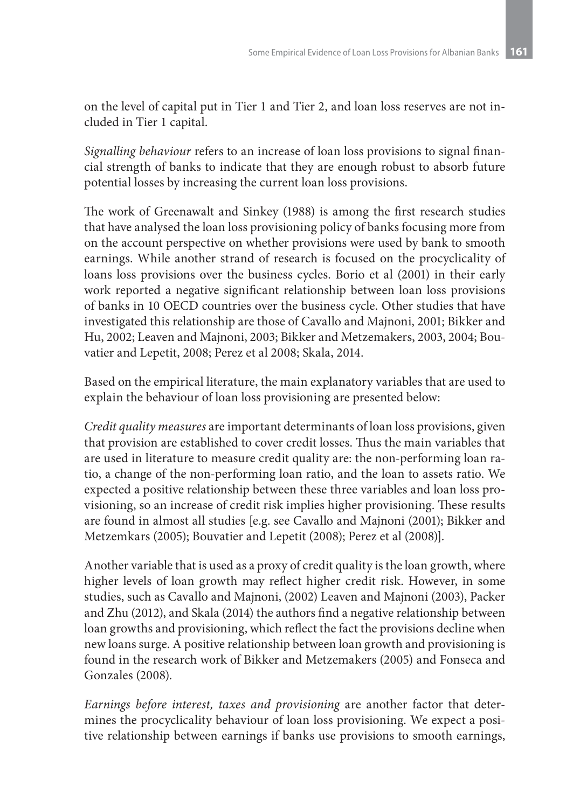on the level of capital put in Tier 1 and Tier 2, and loan loss reserves are not included in Tier 1 capital.

*Signalling behaviour* refers to an increase of loan loss provisions to signal financial strength of banks to indicate that they are enough robust to absorb future potential losses by increasing the current loan loss provisions.

The work of Greenawalt and Sinkey (1988) is among the first research studies that have analysed the loan loss provisioning policy of banks focusing more from on the account perspective on whether provisions were used by bank to smooth earnings. While another strand of research is focused on the procyclicality of loans loss provisions over the business cycles. Borio et al (2001) in their early work reported a negative significant relationship between loan loss provisions of banks in 10 OECD countries over the business cycle. Other studies that have investigated this relationship are those of Cavallo and Majnoni, 2001; Bikker and Hu, 2002; Leaven and Majnoni, 2003; Bikker and Metzemakers, 2003, 2004; Bouvatier and Lepetit, 2008; Perez et al 2008; Skala, 2014.

Based on the empirical literature, the main explanatory variables that are used to explain the behaviour of loan loss provisioning are presented below:

*Credit quality measures* are important determinants of loan loss provisions, given that provision are established to cover credit losses. Thus the main variables that are used in literature to measure credit quality are: the non-performing loan ratio, a change of the non-performing loan ratio, and the loan to assets ratio. We expected a positive relationship between these three variables and loan loss provisioning, so an increase of credit risk implies higher provisioning. These results are found in almost all studies [e.g. see Cavallo and Majnoni (2001); Bikker and Metzemkars (2005); Bouvatier and Lepetit (2008); Perez et al (2008)].

Another variable that is used as a proxy of credit quality is the loan growth, where higher levels of loan growth may reflect higher credit risk. However, in some studies, such as Cavallo and Majnoni, (2002) Leaven and Majnoni (2003), Packer and Zhu (2012), and Skala (2014) the authors find a negative relationship between loan growths and provisioning, which reflect the fact the provisions decline when new loans surge. A positive relationship between loan growth and provisioning is found in the research work of Bikker and Metzemakers (2005) and Fonseca and Gonzales (2008).

*Earnings before interest, taxes and provisioning* are another factor that determines the procyclicality behaviour of loan loss provisioning. We expect a positive relationship between earnings if banks use provisions to smooth earnings,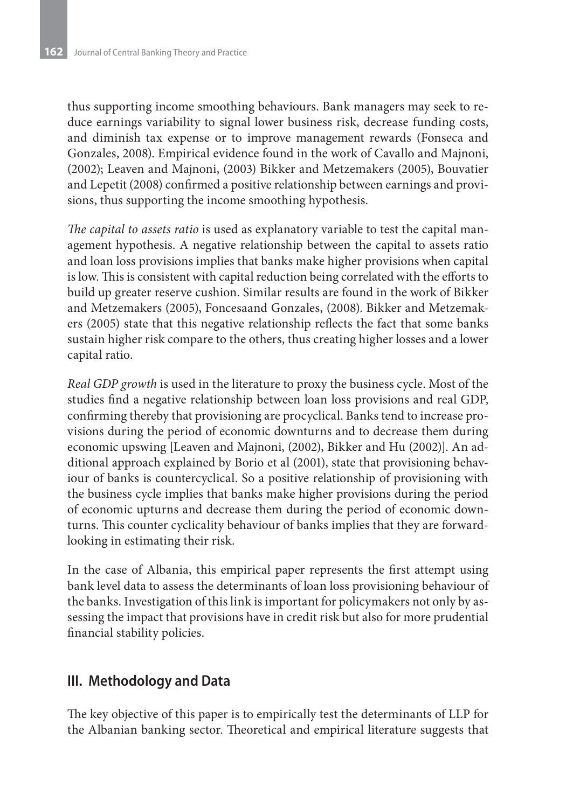thus supporting income smoothing behaviours. Bank managers may seek to reduce earnings variability to signal lower business risk, decrease funding costs, and diminish tax expense or to improve management rewards (Fonseca and Gonzales, 2008). Empirical evidence found in the work of Cavallo and Majnoni, (2002); Leaven and Majnoni, (2003) Bikker and Metzemakers (2005), Bouvatier and Lepetit (2008) confirmed a positive relationship between earnings and provisions, thus supporting the income smoothing hypothesis.

*The capital to assets ratio* is used as explanatory variable to test the capital management hypothesis. A negative relationship between the capital to assets ratio and loan loss provisions implies that banks make higher provisions when capital is low. This is consistent with capital reduction being correlated with the efforts to build up greater reserve cushion. Similar results are found in the work of Bikker and Metzemakers (2005), Foncesaand Gonzales, (2008). Bikker and Metzemakers (2005) state that this negative relationship reflects the fact that some banks sustain higher risk compare to the others, thus creating higher losses and a lower capital ratio.

*Real GDP growth* is used in the literature to proxy the business cycle. Most of the studies find a negative relationship between loan loss provisions and real GDP, confirming thereby that provisioning are procyclical. Banks tend to increase provisions during the period of economic downturns and to decrease them during economic upswing [Leaven and Majnoni, (2002), Bikker and Hu (2002)]. An additional approach explained by Borio et al (2001), state that provisioning behaviour of banks is countercyclical. So a positive relationship of provisioning with the business cycle implies that banks make higher provisions during the period of economic upturns and decrease them during the period of economic downturns. This counter cyclicality behaviour of banks implies that they are forwardlooking in estimating their risk.

In the case of Albania, this empirical paper represents the first attempt using bank level data to assess the determinants of loan loss provisioning behaviour of the banks. Investigation of this link is important for policymakers not only by assessing the impact that provisions have in credit risk but also for more prudential financial stability policies.

# **III. Methodology and Data**

The key objective of this paper is to empirically test the determinants of LLP for the Albanian banking sector. Theoretical and empirical literature suggests that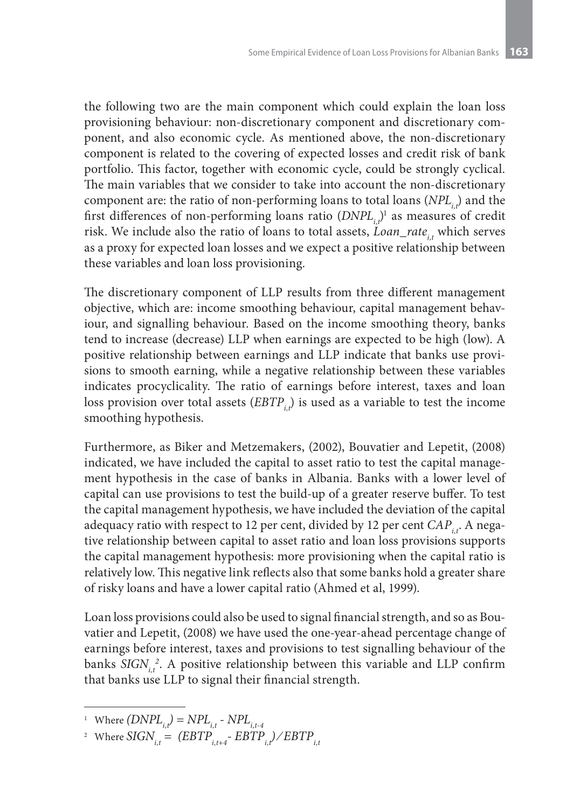the following two are the main component which could explain the loan loss provisioning behaviour: non-discretionary component and discretionary component, and also economic cycle. As mentioned above, the non-discretionary component is related to the covering of expected losses and credit risk of bank portfolio. This factor, together with economic cycle, could be strongly cyclical. The main variables that we consider to take into account the non-discretionary component are: the ratio of non-performing loans to total loans (*NPL<sub>i</sub>*,) and the first differences of non-performing loans ratio  $(DNPL_{i,t})^1$  as measures of credit risk. We include also the ratio of loans to total assets, *Loan\_rate<sub>it</sub>* which serves as a proxy for expected loan losses and we expect a positive relationship between these variables and loan loss provisioning.

The discretionary component of LLP results from three different management objective, which are: income smoothing behaviour, capital management behaviour, and signalling behaviour. Based on the income smoothing theory, banks tend to increase (decrease) LLP when earnings are expected to be high (low). A positive relationship between earnings and LLP indicate that banks use provisions to smooth earning, while a negative relationship between these variables indicates procyclicality. The ratio of earnings before interest, taxes and loan loss provision over total assets (*EBTP<sub>ir</sub>*) is used as a variable to test the income smoothing hypothesis.

Furthermore, as Biker and Metzemakers, (2002), Bouvatier and Lepetit, (2008) indicated, we have included the capital to asset ratio to test the capital management hypothesis in the case of banks in Albania. Banks with a lower level of capital can use provisions to test the build-up of a greater reserve buffer. To test the capital management hypothesis, we have included the deviation of the capital adequacy ratio with respect to 12 per cent, divided by 12 per cent *CAP<sub>it</sub>*. A negative relationship between capital to asset ratio and loan loss provisions supports the capital management hypothesis: more provisioning when the capital ratio is relatively low. This negative link reflects also that some banks hold a greater share of risky loans and have a lower capital ratio (Ahmed et al, 1999).

Loan loss provisions could also be used to signal financial strength, and so as Bouvatier and Lepetit, (2008) we have used the one-year-ahead percentage change of earnings before interest, taxes and provisions to test signalling behaviour of the banks  $SIGN_{i,t}^2$ . A positive relationship between this variable and LLP confirm that banks use LLP to signal their financial strength.

<sup>&</sup>lt;sup>1</sup> Where  $(DNPL_{i,t}) = NPL_{i,t}$  -  $NPL_{i,t-4}$ 

<sup>&</sup>lt;sup>2</sup> Where  $\overline{SIGN}_{i,t} = (EBTP_{i,t+4} - EBTP_{i,t})/EBTP_{i,t}$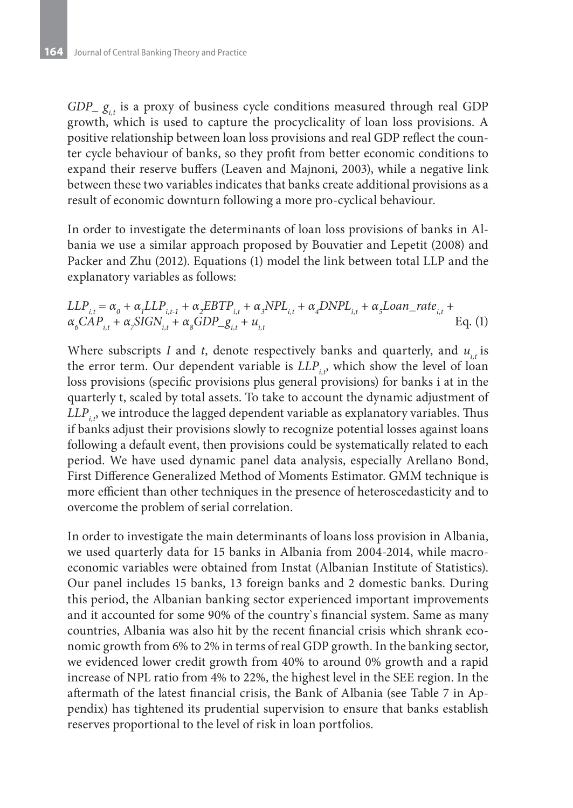$GDP_{g_{i}}$  is a proxy of business cycle conditions measured through real GDP growth, which is used to capture the procyclicality of loan loss provisions. A positive relationship between loan loss provisions and real GDP reflect the counter cycle behaviour of banks, so they profit from better economic conditions to expand their reserve buffers (Leaven and Majnoni, 2003), while a negative link between these two variables indicates that banks create additional provisions as a result of economic downturn following a more pro-cyclical behaviour.

In order to investigate the determinants of loan loss provisions of banks in Albania we use a similar approach proposed by Bouvatier and Lepetit (2008) and Packer and Zhu (2012). Equations (1) model the link between total LLP and the explanatory variables as follows:

$$
LLP_{i,t} = \alpha_o + \alpha_l LLP_{i,t-1} + \alpha_2 EBTP_{i,t} + \alpha_3 NPL_{i,t} + \alpha_4 DNPL_{i,t} + \alpha_5 Loan\_rate_{i,t} + \alpha_6 CAP_{i,t} + \alpha_5 SIGN_{i,t} + \alpha_6 GDP_{-}g_{i,t} + u_{i,t}
$$
 Eq. (1)

Where subscripts *I* and *t*, denote respectively banks and quarterly, and  $u_{i}$  is the error term. Our dependent variable is  $LLP_i$ , which show the level of loan loss provisions (specific provisions plus general provisions) for banks i at in the quarterly t, scaled by total assets. To take to account the dynamic adjustment of  $LLP_i$ , we introduce the lagged dependent variable as explanatory variables. Thus if banks adjust their provisions slowly to recognize potential losses against loans following a default event, then provisions could be systematically related to each period. We have used dynamic panel data analysis, especially Arellano Bond, First Difference Generalized Method of Moments Estimator. GMM technique is more efficient than other techniques in the presence of heteroscedasticity and to overcome the problem of serial correlation.

In order to investigate the main determinants of loans loss provision in Albania, we used quarterly data for 15 banks in Albania from 2004-2014, while macroeconomic variables were obtained from Instat (Albanian Institute of Statistics). Our panel includes 15 banks, 13 foreign banks and 2 domestic banks. During this period, the Albanian banking sector experienced important improvements and it accounted for some 90% of the country`s financial system. Same as many countries, Albania was also hit by the recent financial crisis which shrank economic growth from 6% to 2% in terms of real GDP growth. In the banking sector, we evidenced lower credit growth from 40% to around 0% growth and a rapid increase of NPL ratio from 4% to 22%, the highest level in the SEE region. In the aftermath of the latest financial crisis, the Bank of Albania (see Table 7 in Appendix) has tightened its prudential supervision to ensure that banks establish reserves proportional to the level of risk in loan portfolios.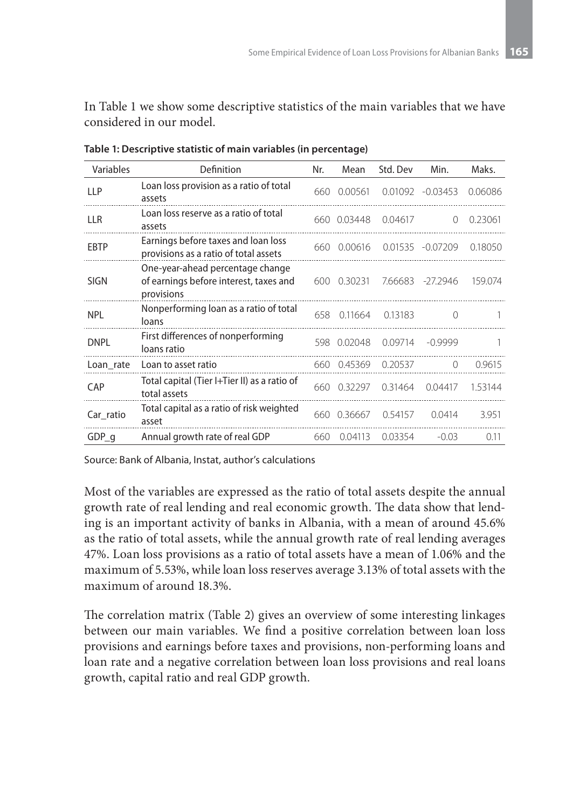In Table 1 we show some descriptive statistics of the main variables that we have considered in our model.

| Variables   | Definition                                                                               | Nr.  | Mean        | Std. Dev | Min.             | Maks.   |
|-------------|------------------------------------------------------------------------------------------|------|-------------|----------|------------------|---------|
| <b>LLP</b>  | Loan loss provision as a ratio of total<br>assets                                        | 660  | 0.00561     | 0.01092  | $-0.03453$       | 0.06086 |
| <b>LLR</b>  | Loan loss reserve as a ratio of total<br>assets                                          |      | 660 0.03448 | 0.04617  | $\left( \right)$ | 0.23061 |
| <b>EBTP</b> | Earnings before taxes and loan loss<br>provisions as a ratio of total assets             | 660  | 0.00616     |          | 0.01535 -0.07209 | 0.18050 |
| <b>SIGN</b> | One-year-ahead percentage change<br>of earnings before interest, taxes and<br>provisions | 600  | 0.30231     | 7.66683  | $-27.2946$       | 159.074 |
| <b>NPL</b>  | Nonperforming loan as a ratio of total<br>loans                                          | 658. | 0.11664     | 0.13183  | $\Omega$         |         |
| <b>DNPL</b> | First differences of nonperforming<br>loans ratio                                        | 598  | 0.02048     | 0.09714  | $-0.9999$        |         |
| Loan rate   | Loan to asset ratio                                                                      | 660  | 0.45369     | 0.20537  | $\Omega$         | 0.9615  |
| CAP         | Total capital (Tier I+Tier II) as a ratio of<br>total assets                             | 660- | 0.32297     | 0.31464  | 0.04417          | 1.53144 |
| Car ratio   | Total capital as a ratio of risk weighted<br>asset                                       | 660- | 0.36667     | 0.54157  | 0.0414           | 3.951   |
| GDP q       | Annual growth rate of real GDP                                                           | 660  | 0.04113     | 0.03354  | $-0.03$          | 0.11    |

**Table 1: Descriptive statistic of main variables (in percentage)**

Source: Bank of Albania, Instat, author's calculations

Most of the variables are expressed as the ratio of total assets despite the annual growth rate of real lending and real economic growth. The data show that lending is an important activity of banks in Albania, with a mean of around 45.6% as the ratio of total assets, while the annual growth rate of real lending averages 47%. Loan loss provisions as a ratio of total assets have a mean of 1.06% and the maximum of 5.53%, while loan loss reserves average 3.13% of total assets with the maximum of around 18.3%.

The correlation matrix (Table 2) gives an overview of some interesting linkages between our main variables. We find a positive correlation between loan loss provisions and earnings before taxes and provisions, non-performing loans and loan rate and a negative correlation between loan loss provisions and real loans growth, capital ratio and real GDP growth.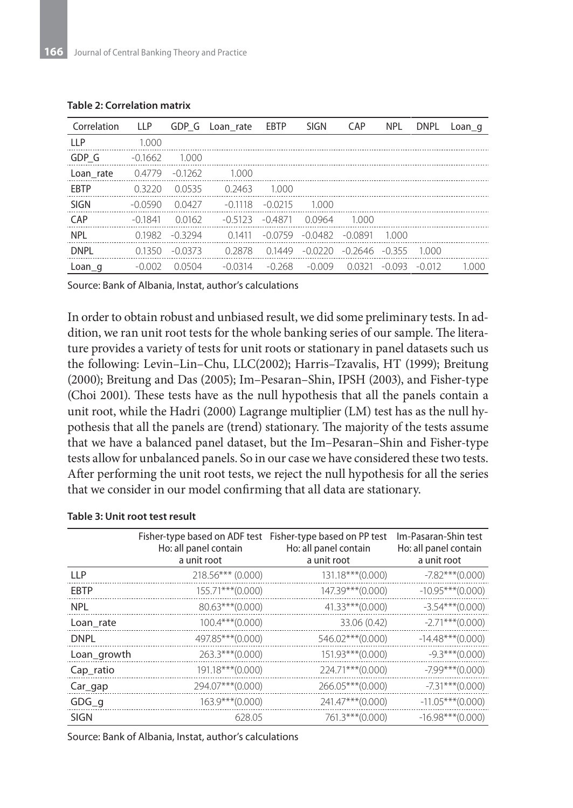| Correlation | <b>LLP</b> | GDP G     | Loan rate | EBTP      | <b>SIGN</b> | CAP       | <b>NPL</b> | <b>DNPL</b> | $Loan_q$ |
|-------------|------------|-----------|-----------|-----------|-------------|-----------|------------|-------------|----------|
| <b>LLP</b>  | 1.000      |           |           |           |             |           |            |             |          |
| GDP G       | $-0.1662$  | 1.000     |           |           |             |           |            |             |          |
| Loan rate   | 0.4779     | $-0.1262$ | 1.000     |           |             |           |            |             |          |
| <b>FRTP</b> | 0.3220     | 00535     | 0.2463    | 1000      |             |           |            |             |          |
| <b>SIGN</b> | $-0.0590$  | 0.0427    | $-0.1118$ | $-0.0215$ | 1.000       |           |            |             |          |
| CAP         | $-0.1841$  | 0.0162    | $-0.5123$ | $-0.4871$ | 0.0964      | 1000      |            |             |          |
| <b>NPL</b>  | 0.1982     | $-0.3294$ | 01411     | $-0.0759$ | $-0.0482$   | $-0.0891$ | 1000       |             |          |
| <b>DNPI</b> | 01350      | -0.0373   | 0.2878    | 01449     | $-0.0220$   | $-0.2646$ | $-0.355$   | 1000        |          |
| Loan q      | $-0.002$   | 0.0504    | $-0.0314$ | $-0.268$  | $-0.009$    | 0.0321    | $-0.093$   | $-0.012$    | 1 000    |

#### **Table 2: Correlation matrix**

Source: Bank of Albania, Instat, author's calculations

In order to obtain robust and unbiased result, we did some preliminary tests. In addition, we ran unit root tests for the whole banking series of our sample. The literature provides a variety of tests for unit roots or stationary in panel datasets such us the following: Levin–Lin–Chu, LLC(2002); Harris–Tzavalis, HT (1999); Breitung (2000); Breitung and Das (2005); Im–Pesaran–Shin, IPSH (2003), and Fisher-type (Choi 2001). These tests have as the null hypothesis that all the panels contain a unit root, while the Hadri (2000) Lagrange multiplier (LM) test has as the null hypothesis that all the panels are (trend) stationary. The majority of the tests assume that we have a balanced panel dataset, but the Im–Pesaran–Shin and Fisher-type tests allow for unbalanced panels. So in our case we have considered these two tests. After performing the unit root tests, we reject the null hypothesis for all the series that we consider in our model confirming that all data are stationary.

|             | Fisher-type based on ADF test Fisher-type based on PP test<br>Ho: all panel contain<br>a unit root | Ho: all panel contain<br>a unit root | Im-Pasaran-Shin test<br>Ho: all panel contain<br>a unit root |
|-------------|----------------------------------------------------------------------------------------------------|--------------------------------------|--------------------------------------------------------------|
| IIP         | $218.56***$ (0.000)                                                                                | $131.18***$ (0.000)                  | $-7.82***$ (0.000)                                           |
| <b>EBTP</b> | $155.71***$ (0.000)                                                                                | 147.39***(0.000)                     | $-10.95***$ (0.000)                                          |
| <b>NPL</b>  | 80.63***(0.000)                                                                                    | $41.33***(0.000)$                    | $-3.54***(0.000)$                                            |
| Loan rate   | $100.4***(0.000)$                                                                                  | 33.06 (0.42)                         | $-2.71***$ (0.000)                                           |
| <b>DNPL</b> | 497.85***(0.000)                                                                                   | 546.02***(0.000)                     | $-14.48***$ (0.000)                                          |
| Loan_growth | 263.3***(0.000)                                                                                    | $151.93***$ (0.000)                  | $-9.3***(0.000)$                                             |
| Cap_ratio   | 191.18***(0.000)                                                                                   | 224.71***(0.000)                     | $-7.99***$ (0.000)                                           |
| $Car_$ gap  | 294.07***(0.000)                                                                                   | 266.05***(0.000)                     | $-7.31***$ (0.000)                                           |
| $GDG_q$     | $163.9***(0.000)$                                                                                  | 241.47***(0.000)                     | $-11.05***$ (0.000)                                          |
| <b>SIGN</b> | 628.05                                                                                             | 761.3***(0.000)                      | $-16.98***(0.000)$                                           |

### **Table 3: Unit root test result**

Source: Bank of Albania, Instat, author's calculations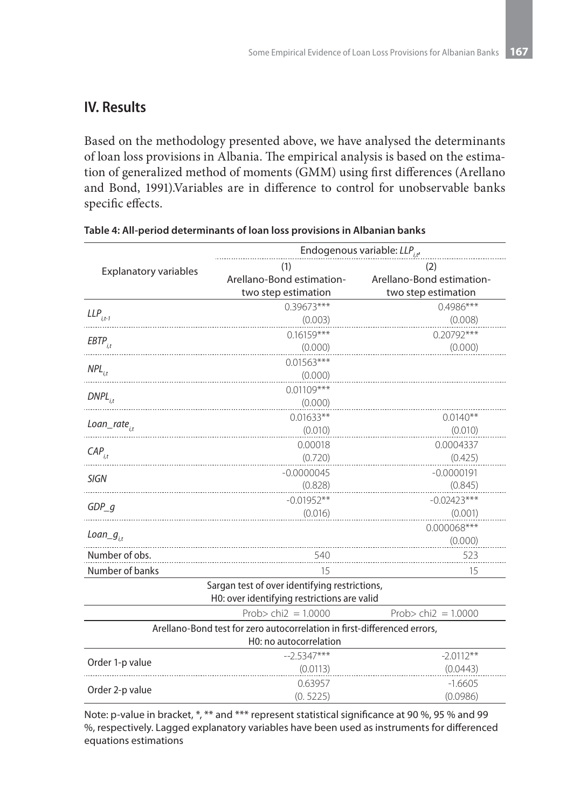### **IV. Results**

Based on the methodology presented above, we have analysed the determinants of loan loss provisions in Albania. The empirical analysis is based on the estimation of generalized method of moments (GMM) using first differences (Arellano and Bond, 1991).Variables are in difference to control for unobservable banks specific effects.

|                                                                                                    | Endogenous variable: $LLP_{i}$ |                           |  |  |  |  |
|----------------------------------------------------------------------------------------------------|--------------------------------|---------------------------|--|--|--|--|
| <b>Explanatory variables</b>                                                                       | (1)                            | (2)                       |  |  |  |  |
|                                                                                                    | Arellano-Bond estimation-      | Arellano-Bond estimation- |  |  |  |  |
|                                                                                                    | two step estimation            | two step estimation       |  |  |  |  |
| $LLP_{i+1}$                                                                                        | $0.39673***$                   | $0.4986***$               |  |  |  |  |
|                                                                                                    | (0.003)                        | (0.008)                   |  |  |  |  |
| $EBTP_{i,t}$                                                                                       | $0.16159***$                   | $0.20792***$              |  |  |  |  |
|                                                                                                    | (0.000)                        | (0.000)                   |  |  |  |  |
| $NPL_{i,t}$                                                                                        | $0.01563***$                   |                           |  |  |  |  |
|                                                                                                    | (0.000)                        |                           |  |  |  |  |
| $DNPL$ <sub>i.t</sub>                                                                              | $0.01109***$                   |                           |  |  |  |  |
|                                                                                                    | (0.000)                        |                           |  |  |  |  |
| $Loan\_rate_{i,t}$                                                                                 | $0.01633**$                    | $0.0140**$                |  |  |  |  |
|                                                                                                    | (0.010)                        | (0.010)                   |  |  |  |  |
| $CAP_{i,t}$                                                                                        | 0.00018                        | 0.0004337                 |  |  |  |  |
|                                                                                                    | (0.720)                        | (0.425)                   |  |  |  |  |
| <b>SIGN</b>                                                                                        | $-0.0000045$                   | $-0.0000191$              |  |  |  |  |
|                                                                                                    | (0.828)                        | (0.845)                   |  |  |  |  |
| $GDP_q$                                                                                            | $-0.01952**$                   | $-0.02423***$             |  |  |  |  |
|                                                                                                    | (0.016)                        | (0.001)                   |  |  |  |  |
| Loan_ $g_{i,t}$                                                                                    |                                | $0.000068***$             |  |  |  |  |
|                                                                                                    |                                | (0.000)                   |  |  |  |  |
| Number of obs.                                                                                     | 540                            | 523                       |  |  |  |  |
| Number of banks                                                                                    | 15                             | 15                        |  |  |  |  |
| Sargan test of over identifying restrictions,<br>H0: over identifying restrictions are valid       |                                |                           |  |  |  |  |
|                                                                                                    | Prob> chi $2 = 1.0000$         | Prob> chi $2 = 1.0000$    |  |  |  |  |
| Arellano-Bond test for zero autocorrelation in first-differenced errors,<br>H0: no autocorrelation |                                |                           |  |  |  |  |
|                                                                                                    | $-2.5347***$                   | $-2.0112**$               |  |  |  |  |
| Order 1-p value                                                                                    | (0.0113)                       | (0.0443)                  |  |  |  |  |
|                                                                                                    | 0.63957                        | $-1.6605$                 |  |  |  |  |
| Order 2-p value                                                                                    | (0.5225)                       | (0.0986)                  |  |  |  |  |
|                                                                                                    |                                |                           |  |  |  |  |

### **Table 4: All-period determinants of loan loss provisions in Albanian banks**

Note: p-value in bracket, \*, \*\* and \*\*\* represent statistical significance at 90 %, 95 % and 99 %, respectively. Lagged explanatory variables have been used as instruments for differenced equations estimations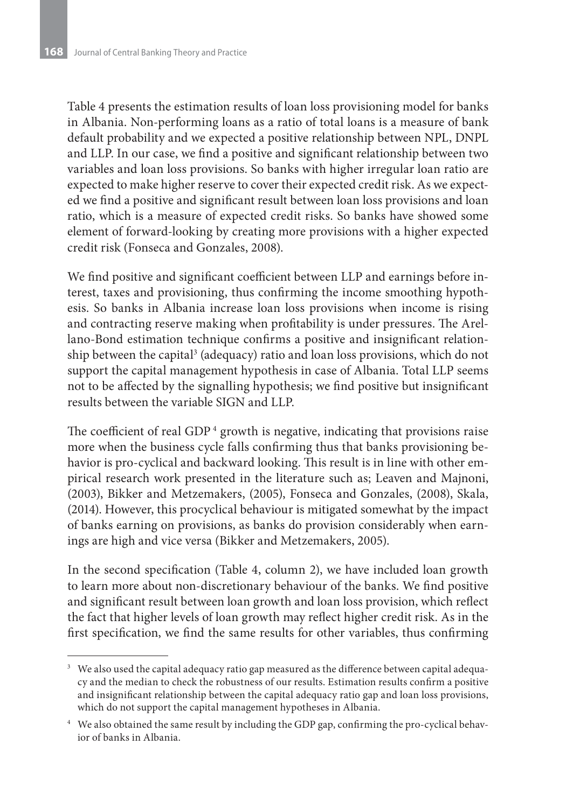Table 4 presents the estimation results of loan loss provisioning model for banks in Albania. Non-performing loans as a ratio of total loans is a measure of bank default probability and we expected a positive relationship between NPL, DNPL and LLP. In our case, we find a positive and significant relationship between two variables and loan loss provisions. So banks with higher irregular loan ratio are expected to make higher reserve to cover their expected credit risk. As we expected we find a positive and significant result between loan loss provisions and loan ratio, which is a measure of expected credit risks. So banks have showed some element of forward-looking by creating more provisions with a higher expected credit risk (Fonseca and Gonzales, 2008).

We find positive and significant coefficient between LLP and earnings before interest, taxes and provisioning, thus confirming the income smoothing hypothesis. So banks in Albania increase loan loss provisions when income is rising and contracting reserve making when profitability is under pressures. The Arellano-Bond estimation technique confirms a positive and insignificant relationship between the capital $^3$  (adequacy) ratio and loan loss provisions, which do not support the capital management hypothesis in case of Albania. Total LLP seems not to be affected by the signalling hypothesis; we find positive but insignificant results between the variable SIGN and LLP.

The coefficient of real GDP $<sup>4</sup>$  growth is negative, indicating that provisions raise</sup> more when the business cycle falls confirming thus that banks provisioning behavior is pro-cyclical and backward looking. This result is in line with other empirical research work presented in the literature such as; Leaven and Majnoni, (2003), Bikker and Metzemakers, (2005), Fonseca and Gonzales, (2008), Skala, (2014). However, this procyclical behaviour is mitigated somewhat by the impact of banks earning on provisions, as banks do provision considerably when earnings are high and vice versa (Bikker and Metzemakers, 2005).

In the second specification (Table 4, column 2), we have included loan growth to learn more about non-discretionary behaviour of the banks. We find positive and significant result between loan growth and loan loss provision, which reflect the fact that higher levels of loan growth may reflect higher credit risk. As in the first specification, we find the same results for other variables, thus confirming

<sup>&</sup>lt;sup>3</sup> We also used the capital adequacy ratio gap measured as the difference between capital adequacy and the median to check the robustness of our results. Estimation results confirm a positive and insignificant relationship between the capital adequacy ratio gap and loan loss provisions, which do not support the capital management hypotheses in Albania.

<sup>4</sup> We also obtained the same result by including the GDP gap, confirming the pro-cyclical behavior of banks in Albania.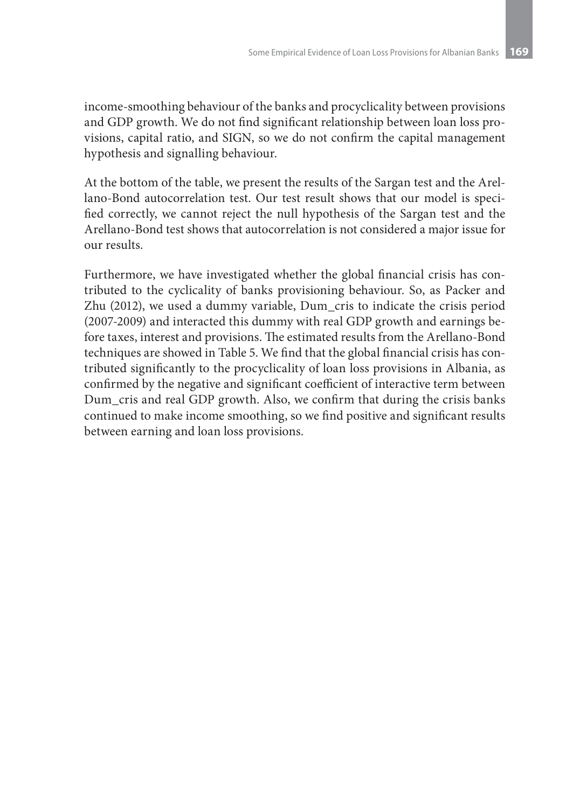income-smoothing behaviour of the banks and procyclicality between provisions and GDP growth. We do not find significant relationship between loan loss provisions, capital ratio, and SIGN, so we do not confirm the capital management hypothesis and signalling behaviour.

At the bottom of the table, we present the results of the Sargan test and the Arellano-Bond autocorrelation test. Our test result shows that our model is specified correctly, we cannot reject the null hypothesis of the Sargan test and the Arellano-Bond test shows that autocorrelation is not considered a major issue for our results.

Furthermore, we have investigated whether the global financial crisis has contributed to the cyclicality of banks provisioning behaviour. So, as Packer and Zhu (2012), we used a dummy variable, Dum\_cris to indicate the crisis period (2007-2009) and interacted this dummy with real GDP growth and earnings before taxes, interest and provisions. The estimated results from the Arellano-Bond techniques are showed in Table 5. We find that the global financial crisis has contributed significantly to the procyclicality of loan loss provisions in Albania, as confirmed by the negative and significant coefficient of interactive term between Dum\_cris and real GDP growth. Also, we confirm that during the crisis banks continued to make income smoothing, so we find positive and significant results between earning and loan loss provisions.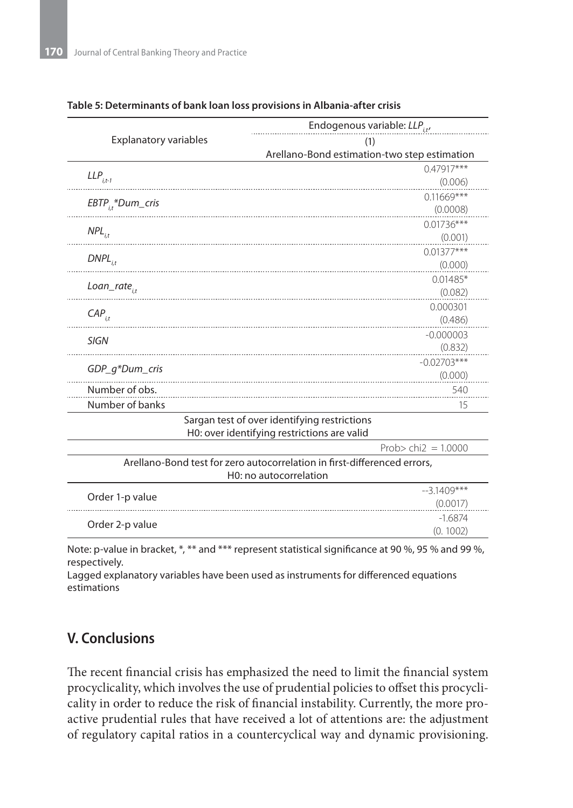|                              | Endogenous variable: $LLP_{i,t'}$                                        |  |  |  |
|------------------------------|--------------------------------------------------------------------------|--|--|--|
| <b>Explanatory variables</b> | (1)                                                                      |  |  |  |
|                              | Arellano-Bond estimation-two step estimation                             |  |  |  |
|                              | $0.47917***$                                                             |  |  |  |
| $LLP_{i,t-1}$                | (0.006)                                                                  |  |  |  |
| $EBTP_{i,t}^*Dum_cris$       | $0.11669***$                                                             |  |  |  |
|                              | (0.0008)                                                                 |  |  |  |
| $NPL_{i,t}$                  | $0.01736***$                                                             |  |  |  |
|                              | (0.001)                                                                  |  |  |  |
| $DNPL$ <sub>i.t</sub>        | $0.01377***$                                                             |  |  |  |
|                              | (0.000)                                                                  |  |  |  |
| $Loan\_rate_{i}$             | $0.01485*$                                                               |  |  |  |
|                              | (0.082)                                                                  |  |  |  |
| $CAP_{i,t}$                  | 0.000301                                                                 |  |  |  |
|                              | (0.486)                                                                  |  |  |  |
| <b>SIGN</b>                  | $-0.000003$                                                              |  |  |  |
|                              | (0.832)<br>$-0.02703***$                                                 |  |  |  |
| GDP_q*Dum_cris               | (0.000)                                                                  |  |  |  |
| Number of obs.               | 540                                                                      |  |  |  |
| Number of banks              | 15                                                                       |  |  |  |
|                              | Sargan test of over identifying restrictions                             |  |  |  |
|                              | H0: over identifying restrictions are valid                              |  |  |  |
|                              | Prob> chi $2 = 1.0000$                                                   |  |  |  |
|                              | Arellano-Bond test for zero autocorrelation in first-differenced errors, |  |  |  |
|                              | H0: no autocorrelation                                                   |  |  |  |
| Order 1-p value              | $-3.1409***$                                                             |  |  |  |
|                              | (0.0017)                                                                 |  |  |  |
| Order 2-p value              | $-1.6874$                                                                |  |  |  |
|                              | (0.1002)                                                                 |  |  |  |

### **Table 5: Determinants of bank loan loss provisions in Albania-after crisis**

Note: p-value in bracket, \*, \*\* and \*\*\* represent statistical significance at 90 %, 95 % and 99 %, respectively.

Lagged explanatory variables have been used as instruments for differenced equations estimations

# **V. Conclusions**

The recent financial crisis has emphasized the need to limit the financial system procyclicality, which involves the use of prudential policies to offset this procyclicality in order to reduce the risk of financial instability. Currently, the more proactive prudential rules that have received a lot of attentions are: the adjustment of regulatory capital ratios in a countercyclical way and dynamic provisioning.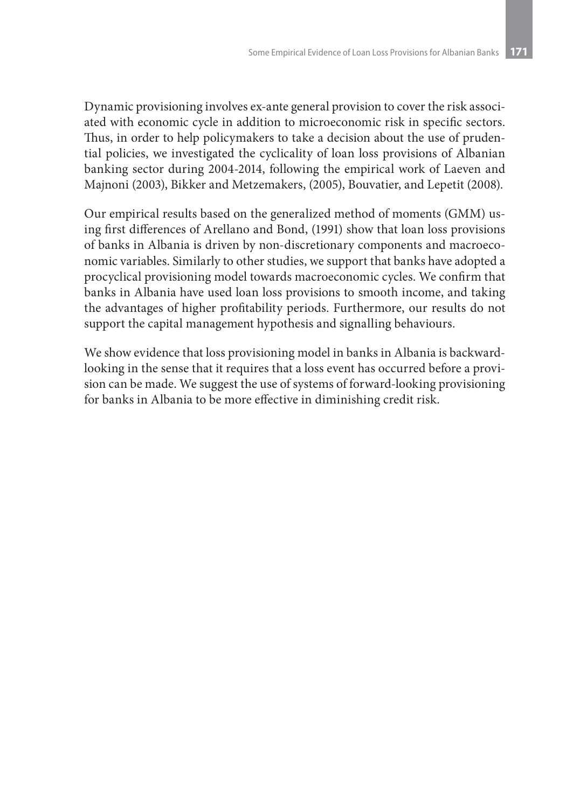Dynamic provisioning involves ex-ante general provision to cover the risk associated with economic cycle in addition to microeconomic risk in specific sectors. Thus, in order to help policymakers to take a decision about the use of prudential policies, we investigated the cyclicality of loan loss provisions of Albanian banking sector during 2004-2014, following the empirical work of Laeven and Majnoni (2003), Bikker and Metzemakers, (2005), Bouvatier, and Lepetit (2008).

Our empirical results based on the generalized method of moments (GMM) using first differences of Arellano and Bond, (1991) show that loan loss provisions of banks in Albania is driven by non-discretionary components and macroeconomic variables. Similarly to other studies, we support that banks have adopted a procyclical provisioning model towards macroeconomic cycles. We confirm that banks in Albania have used loan loss provisions to smooth income, and taking the advantages of higher profitability periods. Furthermore, our results do not support the capital management hypothesis and signalling behaviours.

We show evidence that loss provisioning model in banks in Albania is backwardlooking in the sense that it requires that a loss event has occurred before a provision can be made. We suggest the use of systems of forward-looking provisioning for banks in Albania to be more effective in diminishing credit risk.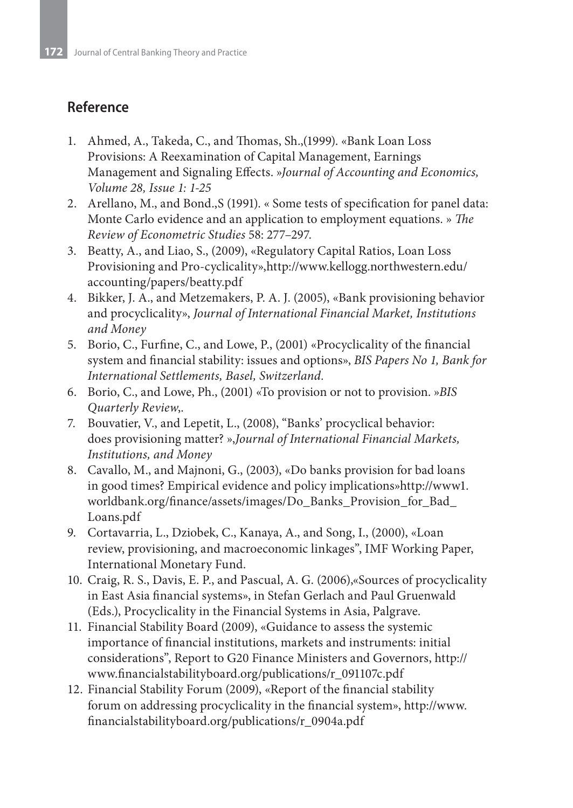# **Reference**

- 1. Ahmed, A., Takeda, C., and Thomas, Sh.,(1999). «Bank Loan Loss Provisions: A Reexamination of Capital Management, Earnings Management and Signaling Effects. »*Journal of Accounting and Economics, Volume 28, Issue 1: 1-25*
- 2. Arellano, M., and Bond.,S (1991). « Some tests of specification for panel data: Monte Carlo evidence and an application to employment equations. » *The Review of Econometric Studies* 58: 277–297.
- 3. Beatty, A., and Liao, S., (2009), «Regulatory Capital Ratios, Loan Loss Provisioning and Pro-cyclicality»,http://www.kellogg.northwestern.edu/ accounting/papers/beatty.pdf
- 4. Bikker, J. A., and Metzemakers, P. A. J. (2005), «Bank provisioning behavior and procyclicality», *Journal of International Financial Market, Institutions and Money*
- 5. Borio, C., Furfine, C., and Lowe, P., (2001) «Procyclicality of the financial system and financial stability: issues and options», *BIS Papers No 1, Bank for International Settlements, Basel, Switzerland.*
- 6. Borio, C., and Lowe, Ph., (2001) «To provision or not to provision. »*BIS Quarterly Review*,.
- 7. Bouvatier, V., and Lepetit, L., (2008), "Banks' procyclical behavior: does provisioning matter? »,*Journal of International Financial Markets, Institutions, and Money*
- 8. Cavallo, M., and Majnoni, G., (2003), «Do banks provision for bad loans in good times? Empirical evidence and policy implications»http://www1. worldbank.org/finance/assets/images/Do\_Banks\_Provision\_for\_Bad\_ Loans.pdf
- 9. Cortavarria, L., Dziobek, C., Kanaya, A., and Song, I., (2000), «Loan review, provisioning, and macroeconomic linkages", IMF Working Paper, International Monetary Fund.
- 10. Craig, R. S., Davis, E. P., and Pascual, A. G. (2006),«Sources of procyclicality in East Asia financial systems», in Stefan Gerlach and Paul Gruenwald (Eds.), Procyclicality in the Financial Systems in Asia, Palgrave.
- 11. Financial Stability Board (2009), «Guidance to assess the systemic importance of financial institutions, markets and instruments: initial considerations", Report to G20 Finance Ministers and Governors, http:// www.financialstabilityboard.org/publications/r\_091107c.pdf
- 12. Financial Stability Forum (2009), «Report of the financial stability forum on addressing procyclicality in the financial system», http://www. financialstabilityboard.org/publications/r\_0904a.pdf